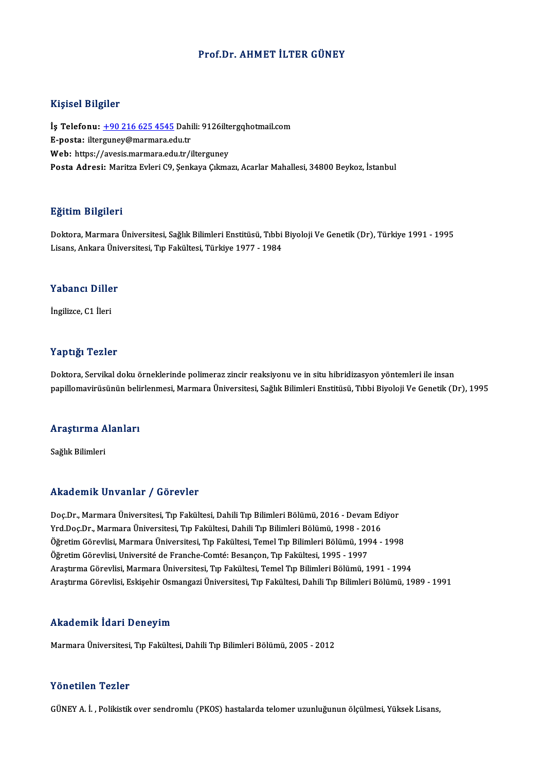#### Prof.Dr. AHMET İLTER GÜNEY

#### Kişisel Bilgiler

Kişisel Bilgiler<br>İş Telefonu: <u>+90 216 625 4545</u> Dahili: 9126iltergqhotmail.com<br>E nosta: iltergynev@marmare.edy.tr 11131021<br>İş Telefonu: <u>+90 216 625 4545</u> Dahi<br>E-posta: ilter[guney@marmara.ed](tel:+90 216 625 4545)u.tr<br>Web: https://avesis.marmara.edu.tr İş Telefonu: <u>+90 216 625 4545</u> Dahili: 9126ilte<br>E-posta: ilterguney@marmara.edu.tr<br>Web: https://avesis.marmara.edu.tr/ilterguney<br>Posta Adresi: Maritre Euleri 60 Senkave Cılma E-posta: ilterguney@marmara.edu.tr<br>Web: https://avesis.marmara.edu.tr/ilterguney<br>Posta Adresi: Maritza Evleri C9, Senkaya Cıkmazı, Acarlar Mahallesi, 34800 Beykoz, İstanbul

#### Eğitim Bilgileri

**Eğitim Bilgileri**<br>Doktora, Marmara Üniversitesi, Sağlık Bilimleri Enstitüsü, Tıbbi Biyoloji Ve Genetik (Dr), Türkiye 1991 - 1995<br>Lisans, Ankara Üniversitesi, Tın Fakültesi, Türkiye 1977, 1984 Lisansın Daryarora<br>Doktora, Marmara Üniversitesi, Sağlık Bilimleri Enstitüsü, Tıbbi<br>Lisans, Ankara Üniversitesi, Tıp Fakültesi, Türkiye 1977 - 1984 Lisans, Ankara Üniversitesi, Tıp Fakültesi, Türkiye 1977 - 1984<br>Yabancı Diller

İngilizce,C1 İleri

#### Yaptığı Tezler

Doktora, Servikal doku örneklerinde polimeraz zincir reaksiyonu ve in situ hibridizasyon yöntemleri ile insan papillomavirüsünün belirlenmesi, Marmara Üniversitesi, Sağlık Bilimleri Enstitüsü, Tıbbi Biyoloji Ve Genetik (Dr), 1995

# papınomavırusunun ben<br>Araştırma Alanları <mark>Araştırma A</mark><br>Sağlık Bilimleri

# Akademik Unvanlar / Görevler

Akademik Unvanlar / Görevler<br>Doç.Dr., Marmara Üniversitesi, Tıp Fakültesi, Dahili Tıp Bilimleri Bölümü, 2016 - Devam Ediyor<br>Yrd Dos Dr., Marmara Üniversitesi, Tıp Fakültesi, Dahili Tıp Bilimleri Bölümü, 1998 - 2016 Yrkuu Chrik "On vuritar" / "Göt Cvict"<br>Doç.Dr., Marmara Üniversitesi, Tıp Fakültesi, Dahili Tıp Bilimleri Bölümü, 2016 - Devam Ed<br>Yrd.Doç.Dr., Marmara Üniversitesi, Tıp Fakültesi, Dahili Tıp Bilimleri Bölümü, 1998 - 2016<br>Ö Doç.Dr., Marmara Üniversitesi, Tıp Fakültesi, Dahili Tıp Bilimleri Bölümü, 2016 - Devam Ediyor<br>Yrd.Doç.Dr., Marmara Üniversitesi, Tıp Fakültesi, Dahili Tıp Bilimleri Bölümü, 1998 - 2016<br>Öğretim Görevlisi, Marmara Üniversit Yrd.Doç.Dr., Marmara Üniversitesi, Tıp Fakültesi, Dahili Tıp Bilimleri Bölümü, 1998 - 2016<br>Öğretim Görevlisi, Marmara Üniversitesi, Tıp Fakültesi, Temel Tıp Bilimleri Bölümü, 1994 - 1998<br>Öğretim Görevlisi, Université de Fr Öğretim Görevlisi, Marmara Üniversitesi, Tıp Fakültesi, Temel Tıp Bilimleri Bölümü, 1994 - 1998<br>Öğretim Görevlisi, Université de Franche-Comté: Besançon, Tıp Fakültesi, 1995 - 1997<br>Araştırma Görevlisi, Marmara Üniversitesi Araştırma Görevlisi, Eskişehir Osmangazi Üniversitesi, Tıp Fakültesi, Dahili Tıp Bilimleri Bölümü, 1989 - 1991

#### Akademik İdari Deneyim

Marmara Üniversitesi, Tıp Fakültesi, Dahili Tıp Bilimleri Bölümü, 2005 - 2012

#### Yönetilen Tezler

GÜNEYA. İ. ,Polikistikover sendromlu (PKOS) hastalarda telomer uzunluğununölçülmesi,YüksekLisans,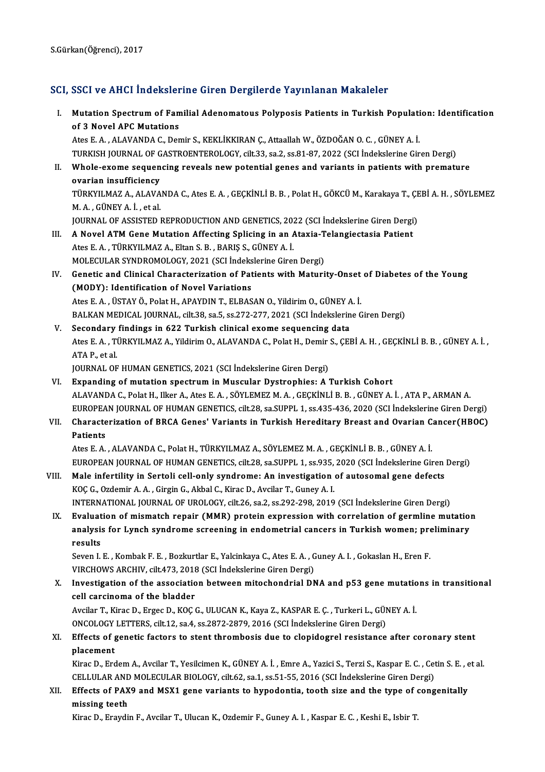### SCI, SSCI ve AHCI İndekslerine Giren Dergilerde Yayınlanan Makaleler

I. Mutation Spectrumof Familial Adenomatous Polyposis Patients in Turkish Population: Identification Mutation Spectrum of Fan<br>of 3 Novel APC Mutations<br>Ates E.A., ALAVANDA C. Dep of 3 Novel APC Mutations<br>Ates E. A. , ALAVANDA C., Demir S., KEKLİKKIRAN Ç., Attaallah W., ÖZDOĞAN O. C. , GÜNEY A. İ. of 3 Novel APC Mutations<br>Ates E. A. , ALAVANDA C., Demir S., KEKLİKKIRAN Ç., Attaallah W., ÖZDOĞAN O. C. , GÜNEY A. İ.<br>TURKISH JOURNAL OF GASTROENTEROLOGY, cilt.33, sa.2, ss.81-87, 2022 (SCI İndekslerine Giren Dergi)<br>Whole II. Whole-exome sequencing reveals new potential genes and variants in patients with premature ovarian insufficiency TURKISH JOURNAL OF G<br>Whole-exome sequen<br>ovarian insufficiency<br>T<sup>ing</sup>VII MAZ A -ALAVA Whole-exome sequencing reveals new potential genes and variants in patients with premature<br>ovarian insufficiency<br>TÜRKYILMAZ A., ALAVANDA C., Ates E. A. , GEÇKİNLİ B. B. , Polat H., GÖKCÜ M., Karakaya T., ÇEBİ A. H. , SÖYLE **ovarian insufficiency<br>TÜRKYILMAZ A., ALAVA<br>M. A. , GÜNEY A. İ. , et al.**<br>JOUPMAL OE ASSISTED J TÜRKYILMAZ A., ALAVANDA C., Ates E. A. , GEÇKİNLİ B. B. , Polat H., GÖKCÜ M., Karakaya T., ÇE<br>M. A. , GÜNEY A. İ. , et al.<br>JOURNAL OF ASSISTED REPRODUCTION AND GENETICS, 2022 (SCI İndekslerine Giren Dergi)<br>A. Novel ATM Con M. A., GÜNEY A. İ., et al.<br>JOURNAL OF ASSISTED REPRODUCTION AND GENETICS, 2022 (SCI İndekslerine Giren Dergi)<br>III. A Novel ATM Gene Mutation Affecting Splicing in an Ataxia-Telangiectasia Patient<br>Ates E. A., TÜRKYILMAZ JOURNAL OF ASSISTED REPRODUCTION AND GENETICS, 2022 (SCI Indekslerine Giren Dergi) A Novel ATM Gene Mutation Affecting Splicing in an Ataxia-T<br>Ates E. A. , TÜRKYILMAZ A., Eltan S. B. , BARIŞ S., GÜNEY A. İ.<br>MOLECULAR SYNDROMOLOGY, 2021 (SCI İndekslerine Giren Dergi)<br>Constis and Clinisal Characterization Ates E. A. , TÜRKYILMAZ A., Eltan S. B. , BARIŞ S., GÜNEY A. İ.<br>MOLECULAR SYNDROMOLOGY, 2021 (SCI İndekslerine Giren Dergi)<br>IV. Genetic and Clinical Characterization of Patients with Maturity-Onset of Diabetes of the Young MOLECULAR SYNDROMOLOGY, 2021 (SCI Indeks<br>Genetic and Clinical Characterization of Pat<br>(MODY): Identification of Novel Variations<br>Ates E.A., USTAV Ö. Rokt H. ARAYDIN T. ELBAS Genetic and Clinical Characterization of Patients with Maturity-Onset<br>(MODY): Identification of Novel Variations<br>Ates E. A. , ÜSTAY Ö., Polat H., APAYDIN T., ELBASAN O., Yildirim O., GÜNEY A. İ.<br>PALKAN MEDICAL JOURNAL, sil (MODY): Identification of Novel Variations<br>Ates E. A. , ÜSTAY Ö., Polat H., APAYDIN T., ELBASAN O., Yildirim O., GÜNEY A. İ.<br>BALKAN MEDICAL JOURNAL, cilt.38, sa.5, ss.272-277, 2021 (SCI İndekslerine Giren Dergi) V. Secondary findings in 622 Turkish clinical exome sequencing data BALKAN MEDICAL JOURNAL, cilt.38, sa.5, ss.272-277, 2021 (SCI İndekslerine Giren Dergi)<br>Secondary findings in 622 Turkish clinical exome sequencing data<br>Ates E. A. , TÜRKYILMAZ A., Yildirim O., ALAVANDA C., Polat H., Demir **Secondary<br>Ates E. A. , Ti<br>ATA P., et al.<br>JOUPNAL OF** Ates E. A. , TÜRKYILMAZ A., Yildirim O., ALAVANDA C., Polat H., Demir<br>ATA P., et al.<br>JOURNAL OF HUMAN GENETICS, 2021 (SCI İndekslerine Giren Dergi)<br>Eynanding of mutation spectrum in Mussular Dystrophias: A. ATA P., et al.<br>JOURNAL OF HUMAN GENETICS, 2021 (SCI Indekslerine Giren Dergi)<br>VI. Expanding of mutation spectrum in Muscular Dystrophies: A Turkish Cohort JOURNAL OF HUMAN GENETICS, 2021 (SCI İndekslerine Giren Dergi)<br><mark>Expanding of mutation spectrum in Muscular Dystrophies: A Turkish Cohort</mark><br>ALAVANDA C., Polat H., Ilker A., Ates E. A. , SÖYLEMEZ M. A. , GEÇKİNLİ B. B. , GÜNE Expanding of mutation spectrum in Muscular Dystrophies: A Turkish Cohort<br>ALAVANDA C., Polat H., Ilker A., Ates E. A. , SÖYLEMEZ M. A. , GEÇKİNLİ B. B. , GÜNEY A. İ. , ATA P., ARMAN A.<br>EUROPEAN JOURNAL OF HUMAN GENETICS, ci ALAVANDA C., Polat H., Ilker A., Ates E. A. , SÖYLEMEZ M. A. , GEÇKİNLİ B. B. , GÜNEY A. İ. , ATA P., ARMAN A.<br>EUROPEAN JOURNAL OF HUMAN GENETICS, cilt.28, sa.SUPPL 1, ss.435-436, 2020 (SCI İndekslerine Giren Dergi)<br>VII. C EUROPEA<br>Characte<br>Patients Characterization of BRCA Genes' Variants in Turkish Hereditary Breast and Ovarian C.<br>Patients<br>Ates E. A. , ALAVANDA C., Polat H., TÜRKYILMAZ A., SÖYLEMEZ M. A. , GEÇKİNLİ B. B. , GÜNEY A. İ.<br>FUROPEAN JOUPNAL OF HUMAN CENET Patients<br>Ates E. A. , ALAVANDA C., Polat H., TÜRKYILMAZ A., SÖYLEMEZ M. A. , GEÇKİNLİ B. B. , GÜNEY A. İ.<br>EUROPEAN JOURNAL OF HUMAN GENETICS, cilt.28, sa.SUPPL 1, ss.935, 2020 (SCI İndekslerine Giren Dergi)<br>Male infartilit Ates E. A., ALAVANDA C., Polat H., TÜRKYILMAZ A., SÖYLEMEZ M. A., GEÇKİNLİ B. B., GÜNEY A. İ.<br>EUROPEAN JOURNAL OF HUMAN GENETICS, cilt.28, sa.SUPPL 1, ss.935, 2020 (SCI İndekslerine Giren<br>VIII. Male infertility in Sertoli EUROPEAN JOURNAL OF HUMAN GENETICS, cilt.28, sa.SUPPL 1, ss.935,<br>Male infertility in Sertoli cell-only syndrome: An investigation<br>KOÇ G., Ozdemir A. A. , Girgin G., Akbal C., Kirac D., Avcilar T., Guney A. I.<br>INTERNATIONAL

INTERNATIONAL JOURNAL OF UROLOGY, cilt.26, sa.2, ss.292-298, 2019 (SCI İndekslerine Giren Dergi)

KOÇ G., Ozdemir A. A. , Girgin G., Akbal C., Kirac D., Avcilar T., Guney A. I.<br>INTERNATIONAL JOURNAL OF UROLOGY, cilt.26, sa.2, ss.292-298, 2019 (SCI İndekslerine Giren Dergi)<br>IX. Evaluation of mismatch repair (MMR) protei INTERNATIONAL JOURNAL OF UROLOGY, cilt.26, sa.2, ss.292-298, 2019 (SCI İndekslerine Giren Dergi)<br>Evaluation of mismatch repair (MMR) protein expression with correlation of germline mutatio:<br>analysis for Lynch syndrome scre Evaluat<br>analysis<br>results<br>Seven L analysis for Lynch syndrome screening in endometrial cancers in Turkish women; pre<br>results<br>Seven I. E. , Kombak F. E. , Bozkurtlar E., Yalcinkaya C., Ates E. A. , Guney A. I. , Gokaslan H., Eren F.<br>VIRCHOWS ARCHIV, sit 473

results<br>Seven I. E. , Kombak F. E. , Bozkurtlar E., Yalcinkaya C., Ates E. A. , G<br>VIRCHOWS ARCHIV, cilt.473, 2018 (SCI İndekslerine Giren Dergi)<br>Investigation of the association between mitoshondrial DN Seven I. E. , Kombak F. E. , Bozkurtlar E., Yalcinkaya C., Ates E. A. , Guney A. I. , Gokaslan H., Eren F.<br>VIRCHOWS ARCHIV, cilt.473, 2018 (SCI Indekslerine Giren Dergi)<br>X. Investigation of the association between mitochon

VIRCHOWS ARCHIV, cilt.473, 2018 (SCI indekslerine Giren Dergi)<br>Investigation of the association between mitochondrial DNA and p53 gene mutatio<br>cell carcinoma of the bladder<br>Avcilar T., Kirac D., Ergec D., KOC G., ULUCAN K. Investigation of the association between mitochondrial DNA and p53 gene mutatio<br>cell carcinoma of the bladder<br>Avcilar T., Kirac D., Ergec D., KOÇ G., ULUCAN K., Kaya Z., KASPAR E. Ç. , Turkeri L., GÜNEY A. İ.<br>ONCOLOCY LETT

cell carcinoma of the bladder<br>Avcilar T., Kirac D., Ergec D., KOÇ G., ULUCAN K., Kaya Z., KASPAR E. Ç. , Turkeri L., GÜN<br>ONCOLOGY LETTERS, cilt.12, sa.4, ss.2872-2879, 2016 (SCI İndekslerine Giren Dergi)<br>Effects of genetis Avcilar T., Kirac D., Ergec D., KOÇ G., ULUCAN K., Kaya Z., KASPAR E. Ç. , Turkeri L., GÜNEY A. İ.<br>ONCOLOGY LETTERS, cilt.12, sa.4, ss.2872-2879, 2016 (SCI İndekslerine Giren Dergi)<br>XI. Effects of genetic factors to stent

# ONCOLOGY<br>Effects of g<br>placement<br>Kines D. Exe Effects of genetic factors to stent thrombosis due to clopidogrel resistance after coronary stent<br>placement<br>Kirac D., Erdem A., Avcilar T., Yesilcimen K., GÜNEY A. İ. , Emre A., Yazici S., Terzi S., Kaspar E. C. , Cetin S.

placement<br>Kirac D., Erdem A., Avcilar T., Yesilcimen K., GÜNEY A. İ. , Emre A., Yazici S., Terzi S., Kaspar E. C. , Cetin S. E. , et al. Kirac D., Erdem A., Avcilar T., Yesilcimen K., GÜNEY A. İ., Emre A., Yazici S., Terzi S., Kaspar E. C., Cetin S. E., e<br>CELLULAR AND MOLECULAR BIOLOGY, cilt.62, sa.1, ss.51-55, 2016 (SCI İndekslerine Giren Dergi)<br>XII. Effec

## CELLULAR AND MOLECULAR BIOLOGY, cilt.62, sa.1, ss.51-55, 2016 (SCI Indekslerine Giren Dergi)<br>Effects of PAX9 and MSX1 gene variants to hypodontia, tooth size and the type of cong<br>missing teeth<br>Kirac D., Eraydin F., Avcilar Effects of PAX9 and MSX1 gene variants to hypodontia, tooth size and the type of (<br>missing teeth<br>Kirac D., Eraydin F., Avcilar T., Ulucan K., Ozdemir F., Guney A. I. , Kaspar E. C. , Keshi E., Isbir T.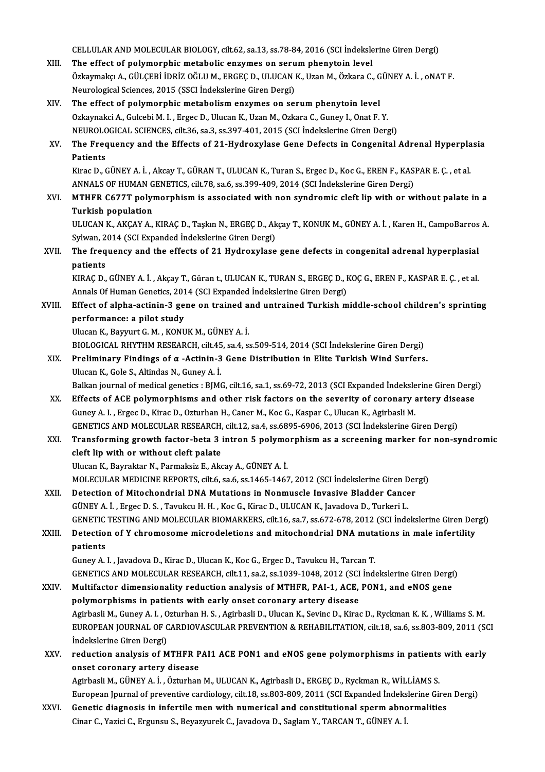|        | CELLULAR AND MOLECULAR BIOLOGY, cilt.62, sa.13, ss.78-84, 2016 (SCI İndekslerine Giren Dergi)                                                                                            |
|--------|------------------------------------------------------------------------------------------------------------------------------------------------------------------------------------------|
| XIII.  | The effect of polymorphic metabolic enzymes on serum phenytoin level                                                                                                                     |
|        | Özkaymakçı A., GÜLÇEBİ İDRİZ OĞLU M., ERGEÇ D., ULUCAN K., Uzan M., Özkara C., GÜNEY A. İ. , oNAT F.                                                                                     |
|        | Neurological Sciences, 2015 (SSCI İndekslerine Giren Dergi)                                                                                                                              |
| XIV.   | The effect of polymorphic metabolism enzymes on serum phenytoin level                                                                                                                    |
|        | Ozkaynakci A., Gulcebi M. I., Ergec D., Ulucan K., Uzan M., Ozkara C., Guney I., Onat F. Y.                                                                                              |
|        | NEUROLOGICAL SCIENCES, cilt.36, sa.3, ss.397-401, 2015 (SCI Indekslerine Giren Dergi)                                                                                                    |
| XV.    | The Frequency and the Effects of 21-Hydroxylase Gene Defects in Congenital Adrenal Hyperplasia<br>Patients                                                                               |
|        | Kirac D., GÜNEY A. İ., Akcay T., GÜRAN T., ULUCAN K., Turan S., Ergec D., Koc G., EREN F., KASPAR E. Ç., et al                                                                           |
|        | ANNALS OF HUMAN GENETICS, cilt.78, sa.6, ss.399-409, 2014 (SCI İndekslerine Giren Dergi)                                                                                                 |
| XVI.   | MTHFR C677T polymorphism is associated with non syndromic cleft lip with or without palate in a                                                                                          |
|        | <b>Turkish population</b>                                                                                                                                                                |
|        | ULUCAN K., AKÇAY A., KIRAÇ D., Taşkın N., ERGEÇ D., Akçay T., KONUK M., GÜNEY A. İ. , Karen H., CampoBarros A.                                                                           |
|        | Sylwan, 2014 (SCI Expanded İndekslerine Giren Dergi)                                                                                                                                     |
| XVII.  | The frequency and the effects of 21 Hydroxylase gene defects in congenital adrenal hyperplasial                                                                                          |
|        | patients                                                                                                                                                                                 |
|        | KIRAÇ D., GÜNEY A. İ., Akçay T., Güran t., ULUCAN K., TURAN S., ERGEÇ D., KOÇ G., EREN F., KASPAR E. Ç., et al<br>Annals Of Human Genetics, 2014 (SCI Expanded Indekslerine Giren Dergi) |
| XVIII. | Effect of alpha-actinin-3 gene on trained and untrained Turkish middle-school children's sprinting                                                                                       |
|        | performance: a pilot study                                                                                                                                                               |
|        | Ulucan K., Bayyurt G. M., KONUK M., GÜNEY A. İ.                                                                                                                                          |
|        | BIOLOGICAL RHYTHM RESEARCH, cilt.45, sa.4, ss.509-514, 2014 (SCI İndekslerine Giren Dergi)                                                                                               |
| XIX.   | Preliminary Findings of $\alpha$ -Actinin-3 Gene Distribution in Elite Turkish Wind Surfers.                                                                                             |
|        | Ulucan K., Gole S., Altindas N., Guney A. İ.                                                                                                                                             |
|        | Balkan journal of medical genetics : BJMG, cilt.16, sa.1, ss.69-72, 2013 (SCI Expanded İndekslerine Giren Dergi)                                                                         |
| XX.    | Effects of ACE polymorphisms and other risk factors on the severity of coronary artery disease                                                                                           |
|        | Guney A. I., Ergec D., Kirac D., Ozturhan H., Caner M., Koc G., Kaspar C., Ulucan K., Agirbasli M.                                                                                       |
|        | GENETICS AND MOLECULAR RESEARCH, cilt.12, sa.4, ss.6895-6906, 2013 (SCI Indekslerine Giren Dergi)                                                                                        |
| XXI.   | Transforming growth factor-beta 3 intron 5 polymorphism as a screening marker for non-syndromic                                                                                          |
|        | cleft lip with or without cleft palate                                                                                                                                                   |
|        | Ulucan K., Bayraktar N., Parmaksiz E., Akcay A., GÜNEY A. İ.                                                                                                                             |
|        | MOLECULAR MEDICINE REPORTS, cilt.6, sa.6, ss.1465-1467, 2012 (SCI İndekslerine Giren Dergi)                                                                                              |
| XXII.  | Detection of Mitochondrial DNA Mutations in Nonmuscle Invasive Bladder Cancer                                                                                                            |
|        | GÜNEY A. İ., Ergec D. S., Tavukcu H. H., Koc G., Kirac D., ULUCAN K., Javadova D., Turkeri L.                                                                                            |
|        | GENETIC TESTING AND MOLECULAR BIOMARKERS, cilt.16, sa.7, ss.672-678, 2012 (SCI İndekslerine Giren Dergi)                                                                                 |
| XXIII. | Detection of Y chromosome microdeletions and mitochondrial DNA mutations in male infertility                                                                                             |
|        | patients                                                                                                                                                                                 |
|        | Guney A. I., Javadova D., Kirac D., Ulucan K., Koc G., Ergec D., Tavukcu H., Tarcan T.                                                                                                   |
|        | GENETICS AND MOLECULAR RESEARCH, cilt.11, sa.2, ss.1039-1048, 2012 (SCI İndekslerine Giren Dergi)                                                                                        |
| XXIV.  | Multifactor dimensionality reduction analysis of MTHFR, PAI-1, ACE, PON1, and eNOS gene                                                                                                  |
|        | polymorphisms in patients with early onset coronary artery disease                                                                                                                       |
|        | Agirbasli M., Guney A. I., Ozturhan H. S., Agirbasli D., Ulucan K., Sevinc D., Kirac D., Ryckman K. K., Williams S. M.                                                                   |
|        | EUROPEAN JOURNAL OF CARDIOVASCULAR PREVENTION & REHABILITATION, cilt.18, sa.6, ss.803-809, 2011 (SCI                                                                                     |
|        | İndekslerine Giren Dergi)                                                                                                                                                                |
| XXV.   | reduction analysis of MTHFR PAI1 ACE PON1 and eNOS gene polymorphisms in patients with early                                                                                             |
|        | onset coronary artery disease                                                                                                                                                            |
|        | Agirbasli M., GÜNEY A. İ. , Özturhan M., ULUCAN K., Agirbasli D., ERGEÇ D., Ryckman R., WİLLİAMS S.                                                                                      |
|        | European Jpurnal of preventive cardiology, cilt.18, ss.803-809, 2011 (SCI Expanded İndekslerine Giren Dergi)                                                                             |
| XXVI.  | Genetic diagnosis in infertile men with numerical and constitutional sperm abnormalities                                                                                                 |
|        | Cinar C., Yazici C., Ergunsu S., Beyazyurek C., Javadova D., Saglam Y., TARCAN T., GÜNEY A. İ.                                                                                           |
|        |                                                                                                                                                                                          |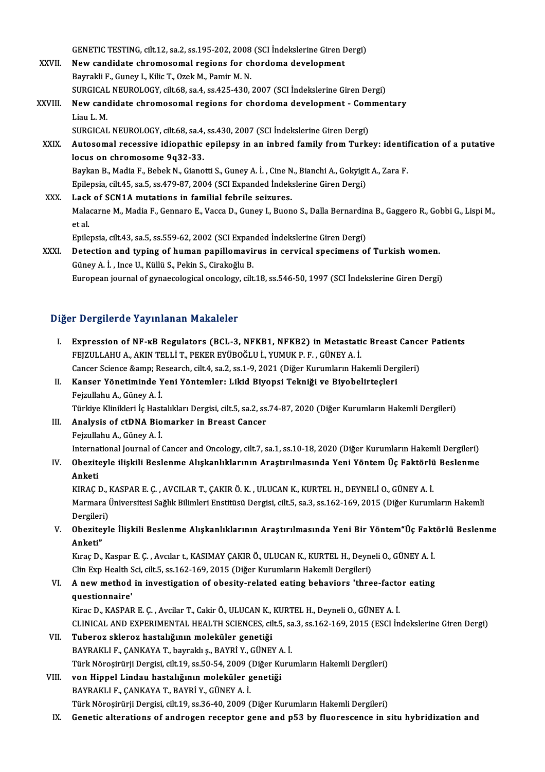GENETIC TESTING, cilt.12, sa.2, ss.195-202, 2008 (SCI İndekslerine Giren Dergi)

- GENETIC TESTING, cilt.12, sa.2, ss.195-202, 2008 (SCI İndekslerine Giren D<br>XXVII. New candidate chromosomal regions for chordoma development GENETIC TESTING, cilt.12, sa.2, ss.195-202, 2008<br>New candidate chromosomal regions for cheaptail if, Guney I., Kilic T., Ozek M., Pamir M. N. New candidate chromosomal regions for chordoma development<br>Bayrakli F., Guney I., Kilic T., Ozek M., Pamir M. N.<br>SURGICAL NEUROLOGY, cilt.68, sa.4, ss.425-430, 2007 (SCI İndekslerine Giren Dergi)<br>New sandidate shramosomal Bayrakli F., Guney I., Kilic T., Ozek M., Pamir M. N.<br>SURGICAL NEUROLOGY, cilt.68, sa.4, ss.425-430, 2007 (SCI İndekslerine Giren Dergi)<br>XXVIII. New candidate chromosomal regions for chordoma development - Commentary
- SURGICAL<br>New canon<br>Liau L. M.<br>SURCICAL New candidate chromosomal regions for chordoma development - Com<br>Liau L. M.<br>SURGICAL NEUROLOGY, cilt.68, sa.4, ss.430, 2007 (SCI İndekslerine Giren Dergi)<br>Autosomal resessive idiopathis epilenev in an inhaed family from Tu
	- SURGICAL NEUROLOGY, cilt.68, sa.4, ss.430, 2007 (SCI Indekslerine Giren Dergi)
- Liau L. M.<br>SURGICAL NEUROLOGY, cilt.68, sa.4, ss.430, 2007 (SCI İndekslerine Giren Dergi)<br>XXIX. Autosomal recessive idiopathic epilepsy in an inbred family from Turkey: identification of a putative<br>locus on chromosome 9q32 Autosomal recessive idiopathic epilepsy in an inbred family from Turkey: identified<br>Iocus on chromosome 9q32-33.<br>Baykan B., Madia F., Bebek N., Gianotti S., Guney A. İ. , Cine N., Bianchi A., Gokyigit A., Zara F.<br>Epilepsia locus on chromosome 9q32-33.<br>Baykan B., Madia F., Bebek N., Gianotti S., Guney A. İ. , Cine N., Bianchi A., Gokyigit<br>Epilepsia, cilt.45, sa.5, ss.479-87, 2004 (SCI Expanded İndekslerine Giren Dergi)<br>Lask of SCN1A mutations

Baykan B., Madia F., Bebek N., Gianotti S., Guney A. İ., Cine N.<br>Epilepsia, cilt.45, sa.5, ss.479-87, 2004 (SCI Expanded Indek<br>XXX. Lack of SCN1A mutations in familial febrile seizures.<br>Makasama M. Madia E. Cannara E. Vass Epilepsia, cilt.45, sa.5, ss.479-87, 2004 (SCI Expanded İndekslerine Giren Dergi)<br>Lack of SCN1A mutations in familial febrile seizures.<br>Malacarne M., Madia F., Gennaro E., Vacca D., Guney I., Buono S., Dalla Bernardina B., Lack<br>Mala<br>et al. Malacarne M., Madia F., Gennaro E., Vacca D., Guney I., Buono S., Dalla Bernardin<br>et al.<br>Epilepsia, cilt.43, sa.5, ss.559-62, 2002 (SCI Expanded İndekslerine Giren Dergi)<br>Detection and tuning of buman nanillomayinus in con et al.<br>Epilepsia, cilt.43, sa.5, ss.559-62, 2002 (SCI Expanded İndekslerine Giren Dergi)<br>XXXI. Detection and typing of human papillomavirus in cervical specimens of Turkish women.<br>Güney A. İ. , Ince U., Küllü S., Pekin S., Epilepsia, cilt.43, sa.5, ss.559-62, 2002 (SCI Expanded İndekslerine Giren Dergi)

European journal of gynaecological oncology, cilt.18, ss.546-50, 1997 (SCI İndekslerine Giren Dergi)

### Diğer Dergilerde Yayınlanan Makaleler

Iger Dergilerde Yayınlanan Makaleler<br>I. Expression of NF-κB Regulators (BCL-3, NFKB1, NFKB2) in Metastatic Breast Cancer Patients<br>ERIZULLAHUA, AKIN TELLI T. BEKER EVÜROČLU L. VUMUK B. E. CÜNEV A. İ FEJZULLAHU A., AKIN TELLİT., PEKER EYÜBOĞLU İ., YUMUK P. F. , GÜNEYA. İ.<br>FEJZULLAHU A., AKIN TELLİ T., PEKER EYÜBOĞLU İ., YUMUK P. F. , GÜNEYA. İ.<br>Cancer Science Semn: Bessareb. cilt 4, sa 2, ss 1, 9, 2021 (Diğer Kurumları Expression of NF-kB Regulators (BCL-3, NFKB1, NFKB2) in Metastatic Breast Cance<br>FEJZULLAHU A., AKIN TELLİ T., PEKER EYÜBOĞLU İ., YUMUK P. F. , GÜNEY A. İ.<br>Cancer Science &amp; Research, cilt.4, sa.2, ss.1-9, 2021 (Diğer Ku FEJZULLAHU A., AKIN TELLİ T., PEKER EYÜBOĞLU İ., YUMUK P. F. , GÜNEY A. İ.<br>Cancer Science &amp; Research, cilt.4, sa.2, ss.1-9, 2021 (Diğer Kurumların Hakemli Der;<br>II. Kanser Yönetiminde Yeni Yöntemler: Likid Biyopsi Tekni

### Cancer Science & Re<br>Kanser Yönetiminde Y<br>Fejzullahu A., Güney A. İ.<br>Türkiye Klinikleri İ.e Hest II. Kanser Yönetiminde Yeni Yöntemler: Likid Biyopsi Tekniği ve Biyobelirteçleri<br>Fejzullahu A., Güney A. İ.<br>Türkiye Klinikleri İç Hastalıkları Dergisi, cilt.5, sa.2, ss.74-87, 2020 (Diğer Kurumların Hakemli Dergileri)

III. Analysis of ctDNA Biomarker in Breast Cancer FejzulahuA.,GüneyA. İ. Analysis of ctDNA Biomarker in Breast Cancer<br>Fejzullahu A., Güney A. İ.<br>International Journal of Cancer and Oncology, cilt.7, sa.1, ss.10-18, 2020 (Diğer Kurumların Hakemli Dergileri)

### IV. Obeziteyle ilişkili Beslenme Alışkanlıklarının Araştırılmasında Yeni YöntemÜç Faktörlü Beslenme Interna<br>Obezite<br>Anketi<br>EIRAC I

KIRAÇD.,KASPARE.Ç. ,AVCILART.,ÇAKIRÖ.K. ,ULUCANK.,KURTELH.,DEYNELİO.,GÜNEYA. İ. Anketi<br>KIRAÇ D., KASPAR E. Ç. , AVCILAR T., ÇAKIR Ö. K. , ULUCAN K., KURTEL H., DEYNELİ O., GÜNEY A. İ.<br>Marmara Üniversitesi Sağlık Bilimleri Enstitüsü Dergisi, cilt.5, sa.3, ss.162-169, 2015 (Diğer Kurumların Hakemli KIRAÇ D., I<br>Marmara İ<br>Dergileri)<br>Obezitevl Marmara Üniversitesi Sağlık Bilimleri Enstitüsü Dergisi, cilt.5, sa.3, ss.162-169, 2015 (Diğer Kurumların Hakemli<br>Dergileri)<br>V. Obeziteyle İlişkili Beslenme Alışkanlıklarının Araştırılmasında Yeni Bir Yöntem"Üç Faktörl

Dergileri)<br>V. Obeziteyle İlişkili Beslenme Alışkanlıklarının Araştırılmasında Yeni Bir Yöntem"Üç Faktörlü Beslenme<br>Anketi" Obeziteyle İlişkili Beslenme Alışkanlıklarının Araştırılmasında Yeni Bir Yöntem"Üç Fakt<br>Anketi"<br>Kıraç D., Kaspar E. Ç. , Avcılar t., KASIMAY ÇAKIR Ö., ULUCAN K., KURTEL H., Deyneli O., GÜNEY A. İ.<br>Clin Evn Hoalth Sci. silt

Anketi"<br>Kıraç D., Kaspar E. Ç. , Avcılar t., KASIMAY ÇAKIR Ö., ULUCAN K., KURTEL H., Deyne<br>Clin Exp Health Sci, cilt.5, ss.162-169, 2015 (Diğer Kurumların Hakemli Dergileri)<br>A new method in investigation of obesity related Kıraç D., Kaspar E. Ç. , Avcılar t., KASIMAY ÇAKIR Ö., ULUCAN K., KURTEL H., Deyneli O., GÜNEY A. İ.<br>Clin Exp Health Sci, cilt.5, ss.162-169, 2015 (Diğer Kurumların Hakemli Dergileri)<br>VI. A new method in investigation of o

# Clin Exp Health S<br>**A** new method<br>questionnaire'<br><sup>Vince D</sup>, <sup>VASDAE</sup> A new method in investigation of obesity-related eating behaviors 'three-facto<br>questionnaire'<br>Kirac D., KASPAR E. Ç. , Avcilar T., Cakir Ö., ULUCAN K., KURTEL H., Deyneli O., GÜNEY A. İ.<br>CLINICAL AND EXPERIMENTAL HEALTH SC

questionnaire'<br>Kirac D., KASPAR E. Ç. , Avcilar T., Cakir Ö., ULUCAN K., KURTEL H., Deyneli O., GÜNEY A. İ.<br>CLINICAL AND EXPERIMENTAL HEALTH SCIENCES, cilt.5, sa.3, ss.162-169, 2015 (ESCI İndekslerine Giren Dergi)<br>Tubereg Kirac D., KASPAR E. Ç. , Avcilar T., Cakir Ö., ULUCAN K., KURTEL H., Deyneli O., GÜNEY A. İ.<br>CLINICAL AND EXPERIMENTAL HEALTH SCIENCES, cilt.5, sa.3, ss.162-169, 2015 (ESCI İn<br>VII. Tuberoz skleroz hastalığının moleküle

- CLINICAL AND EXPERIMENTAL HEALTH SCIENCES, cilt.5, sa<br>Tuberoz skleroz hastalığının moleküler genetiği<br>BAYRAKLI F., ÇANKAYA T., bayraklı ş., BAYRİ Y., GÜNEY A. İ.<br>Türk Nörosirürü Darsisi, silt 19, sa 50, 54, 2009 (Diğer Kur Türk Nöroşirürji Dergisi, cilt.19, ss.50-54, 2009 (Diğer Kurumların Hakemli Dergileri)
- VIII. von Hippel Lindau hastalığının moleküler genetiği BAYRAKLIF.,ÇANKAYAT.,BAYRİY.,GÜNEYA. İ. Türk Nöroşirürji Dergisi, cilt.19, ss.36-40, 2009 (Diğer Kurumların Hakemli Dergileri)
	- IX. Genetic alterations of androgen receptor gene and p53 by fluorescence in situ hybridization and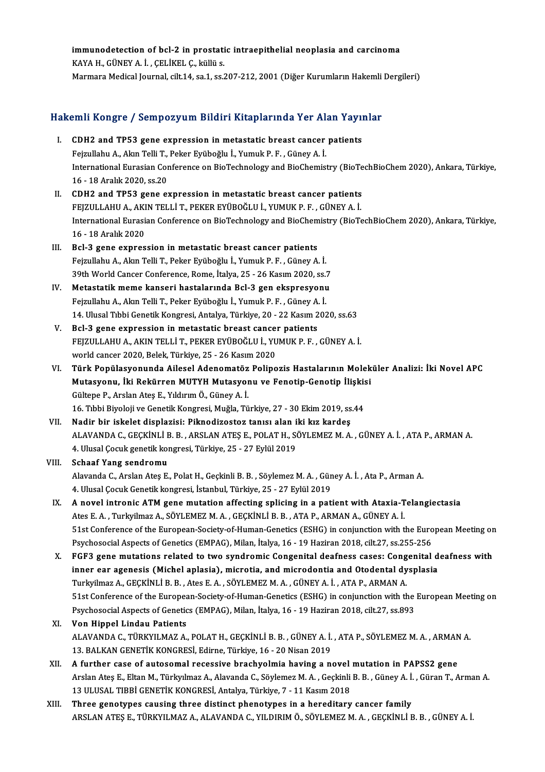### immunodetection of bcl-2 in prostatic intraepithelial neoplasia and carcinoma immunodetection of bcl-2 in prostati<br>KAYA H., GÜNEY A. İ. , ÇELİKEL Ç., küllü s.<br>Marmara Medical Jaurnal, silt 14, sa 1, sa î immunodetection of bcl-2 in prostatic intraepithelial neoplasia and carcinoma<br>KAYA H., GÜNEY A. İ. , ÇELİKEL Ç., küllü s.<br>Marmara Medical Journal, cilt.14, sa.1, ss.207-212, 2001 (Diğer Kurumların Hakemli Dergileri)

# marmara medical journal, cilt.14, sa.1, ss.207-212, 2001 (Diger Kurumların Hakemli<br>Hakemli Kongre / Sempozyum Bildiri Kitaplarında Yer Alan Yayınlar

- akemli Kongre / Sempozyum Bildiri Kitaplarında Yer Alan Yayıl<br>I. CDH2 and TP53 gene expression in metastatic breast cancer patients<br>Feimylaby A. Alan Telli T. Beker Evübeğlu İ. Yumuk B. E. Cünev A. İ. I. CDH2 and TP53 gene expression in metastatic breast cancer patients International Eurasian Conference on BioTechnology and BioChemistry (BioTechBioChem 2020), Ankara, Türkiye,<br>16 - 18 Aralık 2020, ss.20 Fejzullahu A., Akın Telli T., Peker Eyüboğlu İ., Yumuk P. F., Güney A. İ. International Eurasian Conference on BioTechnology and BioChemistry (BioTe<br>16 - 18 Aralık 2020, ss.20<br>II. CDH2 and TP53 gene expression in metastatic breast cancer patients<br>EEIZIII LAHLA AKIN TELLI T BEKER EVÜROČLU I VIIMI
- 16 18 Aralık 2020, ss.20<br>CDH2 and TP53 gene expression in metastatic breast cancer patients<br>FEJZULLAHU A., AKIN TELLİ T., PEKER EYÜBOĞLU İ., YUMUK P. F. , GÜNEY A. İ.<br>International Eurosian Conference en BioTechnology an International Eurasian Conference on BioTechnology and BioChemistry (BioTechBioChem 2020), Ankara, Türkiye, 16 - 18 Aralık 2020 FEJZULLAHU A., AKIN TELLİ T., PEKER EYÜBOĞLU İ., YUMUK P. F., GÜNEY A. İ.
- III. Bcl-3 gene expression in metastatic breast cancer patients Fejzullahu A., Akın Telli T., Peker Eyüboğlu İ., Yumuk P. F., Güney A. İ. Bcl-3 gene expression in metastatic breast cancer patients<br>Fejzullahu A., Akın Telli T., Peker Eyüboğlu İ., Yumuk P. F. , Güney A. İ.<br>39th World Cancer Conference, Rome, İtalya, 25 - 26 Kasım 2020, ss.7<br>Metastatik meme kan Fejzullahu A., Akın Telli T., Peker Eyüboğlu İ., Yumuk P. F. , Güney A. İ.<br>39th World Cancer Conference, Rome, İtalya, 25 - 26 Kasım 2020, ss.7<br>IV. Metastatik meme kanseri hastalarında Bcl-3 gen ekspresyonu<br>Fejmillebu A. A
- 39th World Cancer Conference, Rome, İtalya, 25 26 Kasım 2020, ss.:<br>Metastatik meme kanseri hastalarında Bcl-3 gen ekspresyonu<br>Fejzullahu A., Akın Telli T., Peker Eyüboğlu İ., Yumuk P. F. , Güney A. İ.<br>14 Hlusal Tıhbi Can Metastatik meme kanseri hastalarında Bcl-3 gen ekspresyonu<br>Fejzullahu A., Akın Telli T., Peker Eyüboğlu İ., Yumuk P. F. , Güney A. İ.<br>14. Ulusal Tıbbi Genetik Kongresi, Antalya, Türkiye, 20 - 22 Kasım 2020, ss.63
- V. Bcl-3 gene expression in metastatic breast cancer patients 14. Ulusal Tıbbi Genetik Kongresi, Antalya, Türkiye, 20 - 22 Kasım 2020, ss.63<br>Bcl-3 gene expression in metastatic breast cancer patients<br>FEJZULLAHU A., AKIN TELLİ T., PEKER EYÜBOĞLU İ., YUMUK P. F. , GÜNEY A. İ.<br>world can Bcl-3 gene expression in metastatic breast cancer<br>FEJZULLAHU A., AKIN TELLİ T., PEKER EYÜBOĞLU İ., YU<br>world cancer 2020, Belek, Türkiye, 25 - 26 Kasım 2020<br>Türk Penülasyonunda Ailesel Adenematöz Peline
- world cancer 2020, Belek, Türkiye, 25 26 Kasım 2020<br>VI. Türk Popülasyonunda Ailesel Adenomatöz Polipozis Hastalarının Moleküler Analizi: İki Novel APC world cancer 2020, Belek, Türkiye, 25 - 26 Kasım 2020<br>Türk Popülasyonunda Ailesel Adenomatöz Polipozis Hastalarının Molek<br>Mutasyonu, İki Rekürren MUTYH Mutasyonu ve Fenotip-Genotip İlişkisi<br>Gültane B. Arelan Ates E. Yıldır Türk Popülasyonunda Ailesel Adenomatöz<br>Mutasyonu, İki Rekürren MUTYH Mutasyor<br>Gültepe P., Arslan Ateş E., Yıldırım Ö., Güney A. İ.<br>16 Tıbbi Biyoloji ve Conetik Kongresi Muğla Tü Mutasyonu, İki Rekürren MUTYH Mutasyonu ve Fenotip-Genotip İlişkis<br>Gültepe P., Arslan Ateş E., Yıldırım Ö., Güney A. İ.<br>16. Tıbbi Biyoloji ve Genetik Kongresi, Muğla, Türkiye, 27 - 30 Ekim 2019, ss.44<br>Nadin bir iskelet dis Gültepe P., Arslan Ateş E., Yıldırım Ö., Güney A. İ.<br>16. Tıbbi Biyoloji ve Genetik Kongresi, Muğla, Türkiye, 27 - 30 Ekim 2019, ss.44<br>11. Nadir bir iskelet displazisi: Piknodizostoz tanısı alan iki kız kardeş
- 16. Tıbbi Biyoloji ve Genetik Kongresi, Muğla, Türkiye, 27 30 Ekim 2019, ss.44<br>Nadir bir iskelet displazisi: Piknodizostoz tanısı alan iki kız kardeş<br>ALAVANDA C., GEÇKİNLİ B. B. , ARSLAN ATEŞ E., POLAT H., SÖYLEMEZ M. A. Nadir bir iskelet displazisi: Piknodizostoz tanısı alan i<br>ALAVANDA C., GEÇKİNLİ B. B. , ARSLAN ATEŞ E., POLAT H., SO<br>4. Ulusal Çocuk genetik kongresi, Türkiye, 25 - 27 Eylül 2019<br>Sebaaf Yang sandromu

### 4. Ulusal Çocuk genetik kongresi, Türkiye, 25 - 27 Eylül 2019<br>VIII. Schaaf Yang sendromu 4. Ulusal Çocuk genetik kongresi, Türkiye, 25 - 27 Eylül 2019<br>Schaaf Yang sendromu<br>Alavanda C., Arslan Ateş E., Polat H., Geçkinli B. B. , Söylemez M. A. , Güney A. İ. , Ata P., Arman A.<br>4. Ulusal Cosuk Constik kongresi, İ Schaaf Yang sendromu<br>Alavanda C., Arslan Ateş E., Polat H., Geçkinli B. B. , Söylemez M. A. , Gün<br>4. Ulusal Çocuk Genetik kongresi, İstanbul, Türkiye, 25 - 27 Eylül 2019<br>A. novel intronis ATM gene mutation effecting eplisi Alavanda C., Arslan Ateş E., Polat H., Geçkinli B. B. , Söylemez M. A. , Güney A. İ. , Ata P., Arman A.<br>4. Ulusal Çocuk Genetik kongresi, İstanbul, Türkiye, 25 - 27 Eylül 2019<br>IX. A novel intronic ATM gene mutation affecti

- 4. Ulusal Çocuk Genetik kongresi, İstanbul, Türkiye, 25 27 Eylül 2019<br>A novel intronic ATM gene mutation affecting splicing in a patient with Ataxia-T<br>Ates E. A. , Turkyilmaz A., SÖYLEMEZ M. A. , GEÇKİNLİ B. B. , ATA P., A novel intronic ATM gene mutation affecting splicing in a patient with Ataxia-Telangiectasia<br>Ates E. A. , Turkyilmaz A., SÖYLEMEZ M. A. , GEÇKİNLİ B. B. , ATA P., ARMAN A., GÜNEY A. İ.<br>51st Conference of the European-Soci Ates E. A. , Turkyilmaz A., SÖYLEMEZ M. A. , GEÇKİNLİ B. B. , ATA P., ARMAN A., GÜNEY A. İ.<br>51st Conference of the European-Society-of-Human-Genetics (ESHG) in conjunction with the Euro<br>Psychosocial Aspects of Genetics (EM 51st Conference of the European-Society-of-Human-Genetics (ESHG) in conjunction with the European Meeting or<br>Psychosocial Aspects of Genetics (EMPAG), Milan, İtalya, 16 - 19 Haziran 2018, cilt.27, ss.255-256<br>X. FGF3 gene m
- Psychosocial Aspects of Genetics (EMPAG), Milan, İtalya, 16 19 Haziran 2018, cilt.27, ss.255-256<br>FGF3 gene mutations related to two syndromic Congenital deafness cases: Congenital d<br>inner ear agenesis (Michel aplasia), m FGF3 gene mutations related to two syndromic Congenital deafness cases: Cong<br>inner ear agenesis (Michel aplasia), microtia, and microdontia and Otodental dy<br>Turkyilmaz A., GEÇKİNLİ B. B. , Ates E. A. , SÖYLEMEZ M. A. , GÜN inner ear agenesis (Michel aplasia), microtia, and microdontia and Otodental dysplasia<br>Turkyilmaz A., GEÇKİNLİ B. B. , Ates E. A. , SÖYLEMEZ M. A. , GÜNEY A. İ. , ATA P., ARMAN A.<br>51st Conference of the European-Society-of Turkyilmaz A., GEÇKİNLİ B. B. , Ates E. A. , SÖYLEMEZ M. A. , GÜNEY A. İ. , ATA P., ARMAN A.<br>51st Conference of the European-Society-of-Human-Genetics (ESHG) in conjunction with the<br>Psychosocial Aspects of Genetics (EMPAG) Psychosocial Aspects of Genetics (EMPAG), Milan, İtalya, 16 - 19 Haziran 2018, cilt.27, ss.893<br>XI. Von Hippel Lindau Patients

### Psychosocial Aspects of Genetics (EMPAG), Milan, İtalya, 16 - 19 Haziran 2018, cilt.27, ss.893<br>Von Hippel Lindau Patients<br>ALAVANDA C., TÜRKYILMAZ A., POLAT H., GEÇKİNLİ B. B. , GÜNEY A. İ. , ATA P., SÖYLEMEZ M. A. , ARMAN Von Hippel Lindau Patients<br>ALAVANDA C., TÜRKYILMAZ A., POLAT H., GEÇKİNLİ B. B. , GÜNEY A. İ.<br>13. BALKAN GENETİK KONGRESİ, Edirne, Türkiye, 16 - 20 Nisan 2019<br>A furthor 9280 of autosomal resessiye brasbuelmiş boying a n ALAVANDA C., TÜRKYILMAZ A., POLAT H., GEÇKİNLİ B. B., GÜNEY A. İ., ATA P., SÖYLEMEZ M. A., ARMAN<br>13. BALKAN GENETİK KONGRESİ, Edirne, Türkiye, 16 - 20 Nisan 2019<br>XII. A further case of autosomal recessive brachyolmia havin

- 13. BALKAN GENETİK KONGRESİ, Edirne, Türkiye, 16 20 Nisan 2019<br>A further case of autosomal recessive brachyolmia having a novel mutation in PAPSS2 gene<br>Arslan Ateş E., Eltan M., Türkyılmaz A., Alavanda C., Söylemez M. A. 13ULUSAL TIBBİGENETİKKONGRESİ,Antalya,Türkiye,7 -11Kasım2018
- XIII. Three genotypes causing three distinct phenotypes in a hereditary cancer family ARSLANATEŞE.,TÜRKYILMAZA.,ALAVANDAC.,YILDIRIMÖ.,SÖYLEMEZM.A. ,GEÇKİNLİB.B. ,GÜNEYA. İ.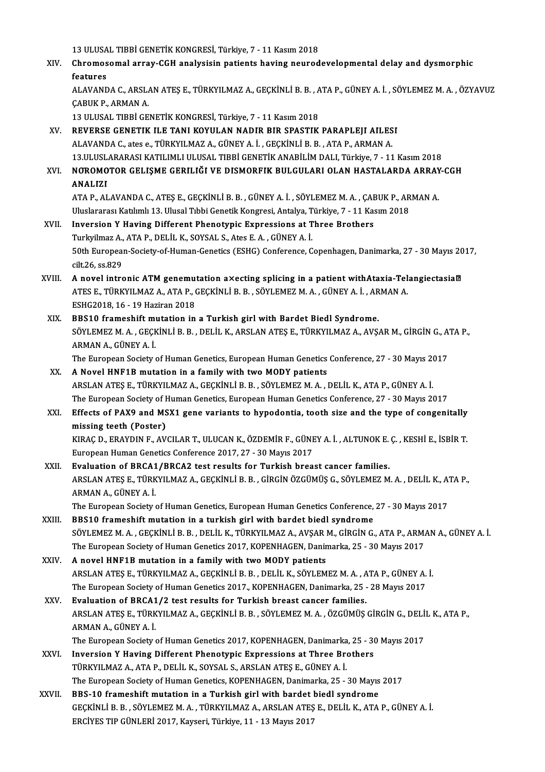13 ULUSAL TIBBİ GENETİK KONGRESİ, Türkiye, 7 - 11 Kasım 2018<br>Chromosomal array CCH apolysisin patienta baying neurod

XIV. Chromosomal array-CGH analysisin patients having neurodevelopmental delay and dysmorphic 13 ULUSA<br>Chromos<br>features<br>ALAVAND Chromosomal array-CGH analysisin patients having neurodevelopmental delay and dysmorphic<br>features<br>ALAVANDA C., ARSLAN ATEŞ E., TÜRKYILMAZ A., GEÇKİNLİ B. B. , ATA P., GÜNEY A. İ. , SÖYLEMEZ M. A. , ÖZYAVUZ<br>CARIIK B. ARMAN

**features<br>ALAVANDA C., ARSL/<br>ÇABUK P., ARMAN A.<br>12 ULUSAL TIPRI CE** ALAVANDA C., ARSLAN ATEŞ E., TÜRKYILMAZ A., GEÇKİNLİ B. B. , A<br>ÇABUK P., ARMAN A.<br>13 ULUSAL TIBBİ GENETİK KONGRESİ, Türkiye, 7 - 11 Kasım 2018<br>REVERSE GENETIK ILE TANI KOYULAN NADIR BIR SPASTIK CABUK P., ARMAN A.<br>13 ULUSAL TIBBİ GENETİK KONGRESİ, Türkiye, 7 - 11 Kasım 2018<br>XV. REVERSE GENETIK ILE TANI KOYULAN NADIR BIR SPASTIK PARAPLEJI AILESI

ALAVANDAC.,ates e.,TÜRKYILMAZA.,GÜNEYA. İ. ,GEÇKİNLİB.B. ,ATAP.,ARMANA. REVERSE GENETIK ILE TANI KOYULAN NADIR BIR SPASTIK PARAPLEJI AILESI<br>ALAVANDA C., ates e., TÜRKYILMAZ A., GÜNEY A. İ. , GEÇKİNLİ B. B. , ATA P., ARMAN A.<br>13.ULUSLARARASI KATILIMLI ULUSAL TIBBİ GENETİK ANABİLİM DALI, Türkiye ALAVANDA C., ates e., TÜRKYILMAZ A., GÜNEY A. İ. , GEÇKİNLİ B. B. , ATA P., ARMAN A.<br>13.ULUSLARARASI KATILIMLI ULUSAL TIBBİ GENETİK ANABİLİM DALI, Türkiye, 7 - 11 Kasım 2018<br>XVI. NOROMOTOR GELIŞME GERILIĞI VE DISMORFIK

# 13.ULUSL<br>**NOROMO**<br>ANALIZI NOROMOTOR GELIŞME GERILIĞI VE DISMORFIK BULGULARI OLAN HASTALARDA ARRAY<br>ANALIZI<br>ATA P., ALAVANDA C., ATEŞ E., GEÇKİNLİ B. B. , GÜNEY A. İ. , SÖYLEMEZ M. A. , ÇABUK P., ARMAN A.<br>Uluslararası Katılımlı 12. Ulusel Tıbbi Censt

```
ANALIZI<br>ATA P., ALAVANDA C., ATEŞ E., GEÇKİNLİ B. B. , GÜNEY A. İ. , SÖYLEMEZ M. A. , ÇABUK P., ARMAN A.<br>Uluslararası Katılımlı 13. Ulusal Tıbbi Genetik Kongresi, Antalya, Türkiye, 7 - 11 Kasım 2018
ATA P., ALAVANDA C., ATEŞ E., GEÇKİNLİ B. B., GÜNEY A. İ., SÖYLEMEZ M. A., ÇAE<br>Uluslararası Katılımlı 13. Ulusal Tıbbi Genetik Kongresi, Antalya, Türkiye, 7 - 11 Kas<br>XVII. Inversion Y Having Different Phenotypic Expression
```
### Uluslararası Katılımlı 13. Ulusal Tıbbi Genetik Kongresi, Antalya, T<br>Inversion Y Having Different Phenotypic Expressions at T<br>Turkyilmaz A., ATA P., DELİL K., SOYSAL S., Ates E. A. , GÜNEY A. İ.<br>E<sup>0th Euronean Sosiaty of H</sup> Inversion Y Having Different Phenotypic Expressions at Three Brothers<br>Turkyilmaz A., ATA P., DELİL K., SOYSAL S., Ates E. A. , GÜNEY A. İ.<br>50th European-Society-of-Human-Genetics (ESHG) Conference, Copenhagen, Danimarka, 2 Turkyilmaz A., ATA P., DELİL K., SOYSAL S., Ates E. A. , GÜNEY A. İ.<br>50th European-Society-of-Human-Genetics (ESHG) Conference, C<br>cilt.26, ss.829 50th European-Society-of-Human-Genetics (ESHG) Conference, Copenhagen, Danimarka, 27 - 30 Mayıs 20<br>cilt.26, ss.829<br>XVIII. A novel intronic ATM genemutation a×ecting splicing in a patient withAtaxia-TelangiectasiaM<br>ATES E T

- cilt.26, ss.829<br>A novel intronic ATM genemutation a×ecting splicing in a patient withAtaxia-Tel<br>ATES E., TÜRKYILMAZ A., ATA P., GEÇKİNLİ B. B. , SÖYLEMEZ M. A. , GÜNEY A. İ. , ARMAN A.<br>ESKC2018.16. 10 Herirar 2019 A novel intronic ATM genemut<br>ATES E., TÜRKYILMAZ A., ATA P., (<br>ESHG2018, 16 - 19 Haziran 2018<br>PPS10 framashift mutation in ATES E., TÜRKYILMAZ A., ATA P., GEÇKİNLİ B. B., SÖYLEMEZ M. A., GÜNEY A. İ., AR<br>ESHG2018, 16 - 19 Haziran 2018<br>XIX. BBS10 frameshift mutation in a Turkish girl with Bardet Biedl Syndrome.<br>SÖYLEMEZ M. A., CECKİNLİ B. B., DE
- ESHG2018, 16 19 Haziran 2018<br>BBS10 frameshift mutation in a Turkish girl with Bardet Biedl Syndrome.<br>SÖYLEMEZ M. A., GEÇKİNLİ B. B., DELİL K., ARSLAN ATEŞ E., TÜRKYILMAZ A., AVŞAR M., GİRGİN G., ATA P.,<br>ARMAN A., GÜNEY A **BBS10 frameshift m**<br>SÖYLEMEZ M. A. , GEÇK<br>ARMAN A., GÜNEY A. İ.<br>The European Society SÖYLEMEZ M. A. , GEÇKİNLİ B. B. , DELİL K., ARSLAN ATEŞ E., TÜRKYILMAZ A., AVŞAR M., GİRGİN G., A<br>ARMAN A., GÜNEY A. İ.<br>The European Society of Human Genetics, European Human Genetics Conference, 27 - 30 Mayıs 2017<br>A Novel

ARMAN A., GÜNEY A. İ.<br>The European Society of Human Genetics, European Human Genetics<br>XX. A Novel HNF1B mutation in a family with two MODY patients<br>ADSLAN ATES E TÜDKVILMAZ A. GECKINLI P. P. SÖVLEMEZ M. A. I. The European Society of Human Genetics, European Human Genetics Conference, 27 - 30 Mayıs 20<br>A Novel HNF1B mutation in a family with two MODY patients<br>ARSLAN ATEŞ E., TÜRKYILMAZ A., GEÇKİNLİ B. B. , SÖYLEMEZ M. A. , DELİL XX. A Novel HNF1B mutation in a family with two MODY patients<br>ARSLAN ATES E., TÜRKYILMAZ A., GECKINLI B. B., SÖYLEMEZ M. A., DELIL K., ATA P., GÜNEY A. İ. ARSLAN ATEŞ E., TÜRKYILMAZ A., GEÇKİNLİ B. B. , SÖYLEMEZ M. A. , DELİL K., ATA P., GÜNEY A. İ.<br>The European Society of Human Genetics, European Human Genetics Conference, 27 - 30 Mayıs 2017<br>XXI. Effects of PAX9 and MSX1 ge

### The European Society of Human Genetics, European Human Genetics Conference, 27 - 30 Mayıs 2017<br>Effects of PAX9 and MSX1 gene variants to hypodontia, tooth size and the type of congeni<br>missing teeth (Poster) Effects of PAX9 and MSX1 gene variants to hypodontia, tooth size and the type of congenitally<br>missing teeth (Poster)<br>KIRAÇ D., ERAYDIN F., AVCILAR T., ULUCAN K., ÖZDEMİR F., GÜNEY A. İ. , ALTUNOK E. Ç. , KESHİ E., İSBİR T. KIRAÇ D., ERAYDIN F., AVCILAR T., ULUCAN K., ÖZDEMİR F., GÜNEY A. İ. , ALTUNOK E. Ç. , KESHİ E., İSBİR T.<br>European Human Genetics Conference 2017, 27 - 30 Mayıs 2017

- XXII. Evaluation of BRCA1/BRCA2 test results for Turkish breast cancer families. European Human Genetics Conference 2017, 27 - 30 Mayıs 2017<br><mark>Evaluation of BRCA1/BRCA2 test results for Turkish breast cancer families.</mark><br>ARSLAN ATEŞ E., TÜRKYILMAZ A., GEÇKİNLİ B. B. , GİRGİN ÖZGÜMÜŞ G., SÖYLEMEZ M. A. , D Evaluation of BRCA1<br>ARSLAN ATEŞ E., TÜRK<br>ARMAN A., GÜNEY A. İ.<br>The Euronean Society ARSLAN ATEŞ E., TÜRKYILMAZ A., GEÇKİNLİ B. B. , GİRGİN ÖZGÜMÜŞ G., SÖYLEMEZ M. A. , DELİL K., A'<br>ARMAN A., GÜNEY A. İ.<br>The European Society of Human Genetics, European Human Genetics Conference, 27 - 30 Mayıs 2017<br>PPS10 fr ARMAN A., GÜNEY A. İ.<br>The European Society of Human Genetics, European Human Genetics Conference, 27 - 30 Mayıs 2017<br>XXIII. BBS10 frameshift mutation in a turkish girl with bardet biedl syndrome
- SÖYLEMEZ M. A. , GEÇKİNLİ B. B. , DELİL K., TÜRKYILMAZ A., AVŞAR M., GİRGİN G., ATA P., ARMAN A., GÜNEY A. İ. BBS10 frameshift mutation in a turkish girl with bardet biedl syndrome<br>SÖYLEMEZ M. A. , GEÇKİNLİ B. B. , DELİL K., TÜRKYILMAZ A., AVŞAR M., GİRGİN G., ATA P., ARM*ı*<br>The European Society of Human Genetics 2017, KOPENHAGEN, SÖYLEMEZ M. A., GEÇKİNLİ B. B., DELİL K., TÜRKYILMAZ A., AVŞAR I<br>The European Society of Human Genetics 2017, KOPENHAGEN, Danir<br>XXIV. A novel HNF1B mutation in a family with two MODY patients
- The European Society of Human Genetics 2017, KOPENHAGEN, Danimarka, 25 30 Mayıs 2017<br>A novel HNF1B mutation in a family with two MODY patients<br>ARSLAN ATEŞ E., TÜRKYILMAZ A., GEÇKİNLİ B. B. , DELİL K., SÖYLEMEZ M. A. , AT A novel HNF1B mutation in a family with two MODY patients<br>ARSLAN ATEŞ E., TÜRKYILMAZ A., GEÇKİNLİ B. B. , DELİL K., SÖYLEMEZ M. A. , ATA P., GÜNEY A.<br>The European Society of Human Genetics 2017., KOPENHAGEN, Danimarka, 25 ARSLAN ATEŞ E., TÜRKYILMAZ A., GEÇKİNLİ B. B., DELİL K., SÖYLEMEZ M. A., A<br>The European Society of Human Genetics 2017., KOPENHAGEN, Danimarka, 25 -<br>XXV. Evaluation of BRCA1/2 test results for Turkish breast cancer familie
- The European Society of Human Genetics 2017., KOPENHAGEN, Danimarka, 25 28 Mayıs 2017<br><mark>Evaluation of BRCA1/2 test results for Turkish breast cancer families.</mark><br>ARSLAN ATEŞ E., TÜRKYILMAZ A., GEÇKİNLİ B. B. , SÖYLEMEZ M. A Evaluation of BRCA1/2 test results for Turkish breast cancer families.<br>ARSLAN ATES E., TÜRKYILMAZ A., GEÇKİNLİ B. B. , SÖYLEMEZ M. A. , ÖZGÜMÜŞ GİRGİN G., DELİ<br>ARMAN A., GÜNEY A. İ.<br>The European Society of Human Genetics 2 ARSLAN ATEŞ E., TÜRKYILMAZ A., GEÇKİNLİ B. B. , SÖYLEMEZ M. A. , ÖZGÜMÜŞ GİRGİN G., DELİ<br>ARMAN A., GÜNEY A. İ.<br>The European Society of Human Genetics 2017, KOPENHAGEN, Danimarka, 25 - 30 Mayıs 2017<br>Invarsion X Having Diffe
- XXVI. Inversion Y Having Different Phenotypic Expressions at Three Brothers TÜRKYILMAZA.,ATAP.,DELİLK.,SOYSAL S.,ARSLANATEŞE.,GÜNEYA. İ. The European Society of Human Genetics, KOPENHAGEN, Danimarka, 25 - 30 Mayıs 2017 TÜRKYILMAZ A., ATA P., DELİL K., SOYSAL S., ARSLAN ATEŞ E., GÜNEY A. İ.<br>The European Society of Human Genetics, KOPENHAGEN, Danimarka, 25 - 30 Mayıs<br>XXVII. BBS-10 frameshift mutation in a Turkish girl with bardet biedl syn
- GEÇKİNLİ B. B. , SÖYLEMEZ M. A. , TÜRKYILMAZ A., ARSLAN ATEŞ E., DELİL K., ATA P., GÜNEY A. İ.<br>ERCİYES TIP GÜNLERİ 2017, Kayseri, Türkiye, 11 13 Mayıs 2017 BBS-10 frameshift mutation in a Turkish girl with bardet l<br>GEÇKİNLİ B. B. , SÖYLEMEZ M. A. , TÜRKYILMAZ A., ARSLAN ATEŞ<br>ERCİYES TIP GÜNLERİ 2017, Kayseri, Türkiye, 11 - 13 Mayıs 2017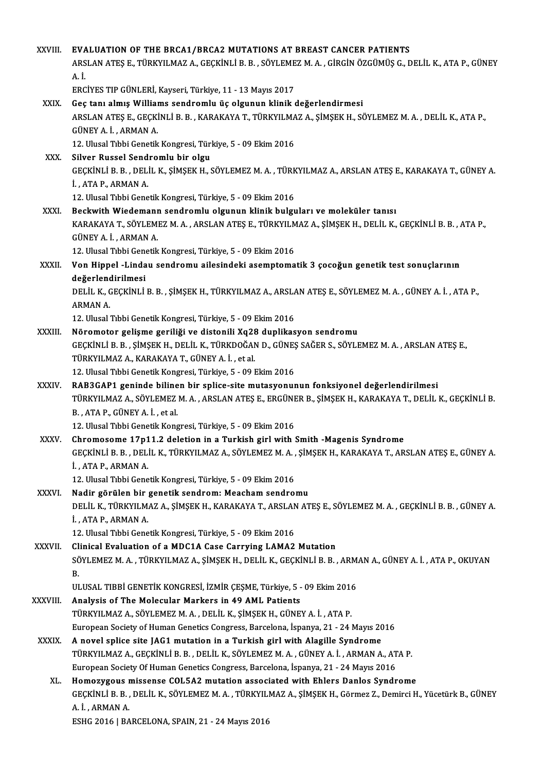| XXVIII.       | EVALUATION OF THE BRCA1/BRCA2 MUTATIONS AT BREAST CANCER PATIENTS                                                                                                                               |
|---------------|-------------------------------------------------------------------------------------------------------------------------------------------------------------------------------------------------|
|               | ARSLAN ATEŞ E., TÜRKYILMAZ A., GEÇKİNLİ B. B. , SÖYLEMEZ M. A. , GİRGİN ÖZGÜMÜŞ G., DELİL K., ATA P., GÜNEY                                                                                     |
|               | $A$ $I$                                                                                                                                                                                         |
|               | ERCİYES TIP GÜNLERİ, Kayseri, Türkiye, 11 - 13 Mayıs 2017                                                                                                                                       |
| XXIX.         | Geç tanı almış Williams sendromlu üç olgunun klinik değerlendirmesi                                                                                                                             |
|               | ARSLAN ATEŞ E., GEÇKİNLİ B. B., KARAKAYA T., TÜRKYILMAZ A., ŞİMŞEK H., SÖYLEMEZ M. A., DELİL K., ATA P.,                                                                                        |
|               | GÜNEY A. İ., ARMAN A.                                                                                                                                                                           |
|               | 12. Ulusal Tıbbi Genetik Kongresi, Türkiye, 5 - 09 Ekim 2016                                                                                                                                    |
| XXX.          | Silver Russel Sendromlu bir olgu                                                                                                                                                                |
|               | GEÇKİNLİ B. B., DELİL K., ŞİMŞEK H., SÖYLEMEZ M. A., TÜRKYILMAZ A., ARSLAN ATEŞ E., KARAKAYA T., GÜNEY A.                                                                                       |
|               | İ, ATA P, ARMAN A                                                                                                                                                                               |
|               | 12. Ulusal Tıbbi Genetik Kongresi, Türkiye, 5 - 09 Ekim 2016                                                                                                                                    |
| <b>XXXI</b>   | Beckwith Wiedemann sendromlu olgunun klinik bulguları ve moleküler tanısı<br>KARAKAYA T., SÖYLEMEZ M. A., ARSLAN ATEŞ E., TÜRKYILMAZ A., ŞİMŞEK H., DELİL K., GEÇKİNLİ B. B., ATA P.,           |
|               | GÜNEY A. İ., ARMAN A.                                                                                                                                                                           |
|               | 12. Ulusal Tıbbi Genetik Kongresi, Türkiye, 5 - 09 Ekim 2016                                                                                                                                    |
| XXXII.        | Von Hippel -Lindau sendromu ailesindeki asemptomatik 3 çocoğun genetik test sonuçlarının                                                                                                        |
|               | değerlendirilmesi                                                                                                                                                                               |
|               | DELIL K., GEÇKİNLİ B. B., ŞİMŞEK H., TÜRKYILMAZ A., ARSLAN ATEŞ E., SÖYLEMEZ M. A., GÜNEY A. İ., ATA P.,                                                                                        |
|               | <b>ARMAN A.</b>                                                                                                                                                                                 |
|               | 12. Ulusal Tıbbi Genetik Kongresi, Türkiye, 5 - 09 Ekim 2016                                                                                                                                    |
| XXXIII.       | Nöromotor gelişme geriliği ve distonili Xq28 duplikasyon sendromu                                                                                                                               |
|               | GEÇKİNLİ B. B., ŞİMŞEK H., DELİL K., TÜRKDOĞAN D., GÜNEŞ SAĞER S., SÖYLEMEZ M. A., ARSLAN ATEŞ E.,                                                                                              |
|               | TÜRKYILMAZ A., KARAKAYA T., GÜNEY A. İ., et al.                                                                                                                                                 |
|               | 12. Ulusal Tıbbi Genetik Kongresi, Türkiye, 5 - 09 Ekim 2016                                                                                                                                    |
| <b>XXXIV</b>  | RAB3GAP1 geninde bilinen bir splice-site mutasyonunun fonksiyonel değerlendirilmesi<br>TÜRKYILMAZ A., SÖYLEMEZ M. A., ARSLAN ATEŞ E., ERGÜNER B., ŞİMŞEK H., KARAKAYA T., DELİL K., GEÇKİNLİ B. |
|               | B., ATA P., GÜNEY A. İ., et al.                                                                                                                                                                 |
|               | 12. Ulusal Tibbi Genetik Kongresi, Türkiye, 5 - 09 Ekim 2016                                                                                                                                    |
| <b>XXXV</b>   | Chromosome 17p11.2 deletion in a Turkish girl with Smith -Magenis Syndrome                                                                                                                      |
|               | GEÇKİNLİ B. B., DELİL K., TÜRKYILMAZ A., SÖYLEMEZ M. A., ŞİMŞEK H., KARAKAYA T., ARSLAN ATEŞ E., GÜNEY A.                                                                                       |
|               | İ, ATA P, ARMAN A                                                                                                                                                                               |
|               | 12. Ulusal Tıbbi Genetik Kongresi, Türkiye, 5 - 09 Ekim 2016                                                                                                                                    |
| XXXVI.        | Nadir görülen bir genetik sendrom: Meacham sendromu                                                                                                                                             |
|               | DELİL K., TÜRKYILMAZ A., ŞİMŞEK H., KARAKAYA T., ARSLAN ATEŞ E., SÖYLEMEZ M. A. , GEÇKİNLİ B. B. , GÜNEY A.                                                                                     |
|               | İ., ATA P., ARMAN A.                                                                                                                                                                            |
|               | 12. Ulusal Tıbbi Genetik Kongresi, Türkiye, 5 - 09 Ekim 2016                                                                                                                                    |
| <b>XXXVII</b> | Clinical Evaluation of a MDC1A Case Carrying LAMA2 Mutation                                                                                                                                     |
|               | SÖYLEMEZ M. A., TÜRKYILMAZ A., ŞİMŞEK H., DELİL K., GEÇKİNLİ B. B., ARMAN A., GÜNEY A. İ., ATA P., OKUYAN<br>В.                                                                                 |
|               | ULUSAL TIBBİ GENETİK KONGRESİ, İZMİR ÇEŞME, Türkiye, 5 - 09 Ekim 2016                                                                                                                           |
| XXXVIII.      | Analysis of The Molecular Markers in 49 AML Patients                                                                                                                                            |
|               | TÜRKYILMAZ A., SÖYLEMEZ M. A., DELİL K., ŞİMŞEK H., GÜNEY A. İ., ATA P.                                                                                                                         |
|               | European Society of Human Genetics Congress, Barcelona, İspanya, 21 - 24 Mayıs 2016                                                                                                             |
| <b>XXXIX</b>  | A novel splice site JAG1 mutation in a Turkish girl with Alagille Syndrome                                                                                                                      |
|               | TÜRKYILMAZ A., GEÇKİNLİ B. B. , DELİL K., SÖYLEMEZ M. A. , GÜNEY A. İ. , ARMAN A., ATA P.                                                                                                       |
|               | European Society Of Human Genetics Congress, Barcelona, İspanya, 21 - 24 Mayıs 2016                                                                                                             |
| XL.           | Homozygous missense COL5A2 mutation associated with Ehlers Danlos Syndrome                                                                                                                      |
|               | GEÇKİNLİ B. B., DELİL K., SÖYLEMEZ M. A., TÜRKYILMAZ A., ŞİMŞEK H., Görmez Z., Demirci H., Yücetürk B., GÜNEY                                                                                   |
|               | A İ , ARMAN A                                                                                                                                                                                   |
|               | ESHG 2016   BARCELONA, SPAIN, 21 - 24 Mayıs 2016                                                                                                                                                |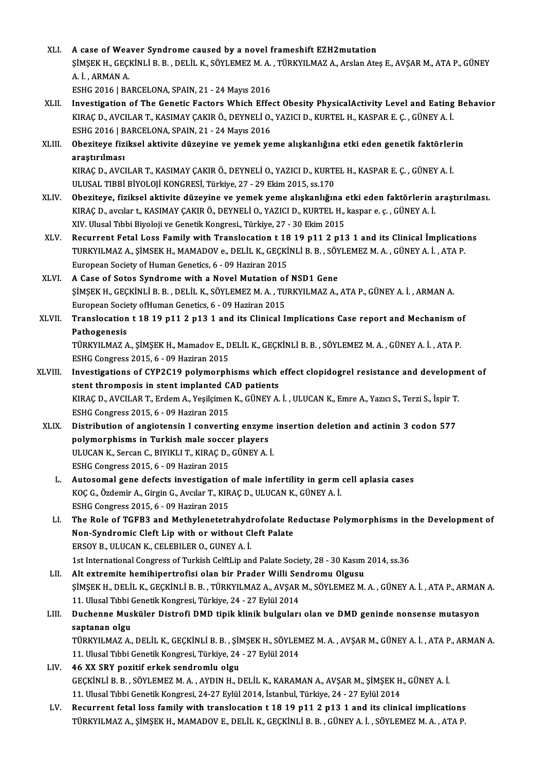- XLI. A case ofWeaver Syndrome caused by a novel frameshift EZH2mutation A case of Weaver Syndrome caused by a novel frameshift EZH2mutation<br>ŞİMŞEK H., GEÇKİNLİ B. B. , DELİL K., SÖYLEMEZ M. A. , TÜRKYILMAZ A., Arslan Ateş E., AVŞAR M., ATA P., GÜNEY<br>A. İ. ARMAN A A case of Wea<br>ŞİMŞEK H., GEÇI<br>A. İ. , ARMAN A.<br>ESHC 2016 LBA ŞİMŞEK H., GEÇKİNLİ B. B. , DELİL K., SÖYLEMEZ M. A.<br>A. İ. , ARMAN A.<br>ESHG 2016 | BARCELONA, SPAIN, 21 - 24 Mayıs 2016<br>Investisation of The Conatia Fastara Which Effe A. İ. , ARMAN A.<br>ESHG 2016 | BARCELONA, SPAIN, 21 - 24 Mayıs 2016<br>XLII. Investigation of The Genetic Factors Which Effect Obesity PhysicalActivity Level and Eating Behavior
- ESHG 2016 | BARCELONA, SPAIN, 21 24 Mayıs 2016<br>Investigation of The Genetic Factors Which Effect Obesity PhysicalActivity Level and Eating<br>KIRAÇ D., AVCILAR T., KASIMAY ÇAKIR Ö., DEYNELİ O., YAZICI D., KURTEL H., KASPAR
- Investigation of The Genetic Factors Which Effe<br>KIRAÇ D., AVCILAR T., KASIMAY ÇAKIR Ö., DEYNELİ O.,<br>ESHG 2016 | BARCELONA, SPAIN, 21 24 Mayıs 2016<br>Oberiteve fiziksel ektivite düzeyine ve yemek ve KIRAÇ D., AVCILAR T., KASIMAY ÇAKIR Ö., DEYNELİ O., YAZICI D., KURTEL H., KASPAR E. Ç. , GÜNEY A. İ.<br>ESHG 2016 | BARCELONA, SPAIN, 21 - 24 Mayıs 2016<br>XLIII. Obeziteye fiziksel aktivite düzeyine ve yemek yeme alışkanlığ
- ESHG 2016 | BARCELONA, SPAIN, 21 24 Mayıs 2016<br>Obeziteye fiziksel aktivite düzeyine ve yemek yeme alışkanlığına etki eden genetik faktörlerin<br>arastırılması Obeziteye fiziksel aktivite düzeyine ve yemek yeme alışkanlığına etki eden genetik faktörler<br>araştırılması<br>KIRAÇ D., AVCILAR T., KASIMAY ÇAKIR Ö., DEYNELİ O., YAZICI D., KURTEL H., KASPAR E. Ç. , GÜNEY A. İ.<br>ULUSAL TIRRİ R <mark>araştırılması</mark><br>KIRAÇ D., AVCILAR T., KASIMAY ÇAKIR Ö., DEYNELİ O., YAZICI D., KURTI<br>ULUSAL TIBBİ BİYOLOJİ KONGRESİ, Türkiye, 27 - 29 Ekim 2015, ss.170<br>Oberiteve, fizikeel ektiyite düreyine ve yemek yeme ekekenköy

- XLIV. Obeziteye, fiziksel aktivite düzeyine ve yemek yeme alışkanlığına etki eden faktörlerin araştırılması. KIRAÇD.,avcılar t.,KASIMAYÇAKIRÖ.,DEYNELİO.,YAZICID.,KURTELH.,kaspar e. ç. ,GÜNEYA. İ. XIV. Ulusal Tıbbi Biyoloji ve Genetik Kongresi., Türkiye, 27 - 30 Ekim 2015
- XLV. Recurrent Fetal Loss Family with Translocation t 18 19 p11 2 p13 1 and its Clinical İmplications XIV. Ulusal Tıbbi Biyoloji ve Genetik Kongresi., Türkiye, 27 - 30 Ekim 2015<br>Recurrent Fetal Loss Family with Translocation t 18 19 p11 2 p13 1 and its Clinical İmplicatio<br>TURKYILMAZ A., ŞİMSEK H., MAMADOV e., DELİL K., GEÇ Recurrent Fetal Loss Family with Translocation t 18<br>TURKYILMAZ A., ŞİMSEK H., MAMADOV e., DELİL K., GEÇKİ<br>European Society of Human Genetics, 6 - 09 Haziran 2015<br>A Gase of Sotes Sundreme with e Nevel Mutation of TURKYILMAZ A., ŞİMSEK H., MAMADOV e., DELİL K., GEÇKİNLİ B. B. , SÖY<br>European Society of Human Genetics, 6 - 09 Haziran 2015<br>XLVI. A Case of Sotos Syndrome with a Novel Mutation of NSD1 Gene<br>SIMSEK H. CECKİNLİ B. B. DELİL
- European Society of Human Genetics, 6 09 Haziran 2015<br>A Case of Sotos Syndrome with a Novel Mutation of NSD1 Gene<br>ŞİMŞEK H., GEÇKİNLİ B. B. , DELİL K., SÖYLEMEZ M. A. , TURKYILMAZ A., ATA P., GÜNEY A. İ. , ARMAN A.<br>Europ A Case of Sotos Syndrome with a Novel Mutation of<br>ŞİMŞEK H., GEÇKİNLİ B. B. , DELİL K., SÖYLEMEZ M. A. , TU<br>European Society ofHuman Genetics, 6 - 09 Haziran 2015<br>Tranalagation t 18 19 n11 2 n12 1 and its Glinical I. SIMSEK H., GEÇKINLI B. B. , DELIL K., SÖYLEMEZ M. A. , TURKYILMAZ A., ATA P., GÜNEY A. İ. , ARMAN A.<br>European Society ofHuman Genetics, 6 - 09 Haziran 2015<br>XLVII. Translocation t 18 19 p11 2 p13 1 and its Clinical Impl
- European Society of Human Genetics, 6 09 Haziran 2015<br>Translocation t 18 19 p11 2 p13 1 and its Clinical Implications Case report and Mechanism of<br>Pathogenesis Translocation t 18 19 p11 2 p13 1 and its Clinical Implications Case report and Mechanism o<br>Pathogenesis<br>TÜRKYILMAZ A., ŞİMŞEK H., Mamadov E., DELİL K., GEÇKİNLİ B. B. , SÖYLEMEZ M. A. , GÜNEY A. İ. , ATA P.<br>ESHC Congress

Pathogenesis<br>TÜRKYILMAZ A., ŞİMŞEK H., Mamadov E., D<br>ESHG Congress 2015, 6 - 09 Haziran 2015<br>Investigations of CYR2C19 nolumornh TÜRKYILMAZ A., ŞİMŞEK H., Mamadov E., DELİL K., GEÇKİNLİ B. B. , SÖYLEMEZ M. A. , GÜNEY A. İ. , ATA P.<br>ESHG Congress 2015, 6 - 09 Haziran 2015<br>XLVIII. Investigations of CYP2C19 polymorphisms which effect clopidogrel resist

- ESHG Congress 2015, 6 09 Haziran 2015<br>XLVIII. Investigations of CYP2C19 polymorphisms which effect clopidogrel resistance and development of<br>stent thromposis in stent implanted CAD patients Investigations of CYP2C19 polymorphisms which effect clopidogrel resistance and developm<br>stent thromposis in stent implanted CAD patients<br>KIRAÇ D., AVCILAR T., Erdem A., Yeşilçimen K., GÜNEY A. İ. , ULUCAN K., Emre A., Yaz stent thromposis in stent implanted C.<br>KIRAÇ D., AVCILAR T., Erdem A., Yeşilçimen<br>ESHG Congress 2015, 6 - 09 Haziran 2015<br>Distribution of angiotonein Leonyarti: KIRAÇ D., AVCILAR T., Erdem A., Yeşilçimen K., GÜNEY A. İ. , ULUCAN K., Emre A., Yazıcı S., Terzi S., İspir T.<br>ESHG Congress 2015, 6 - 09 Haziran 2015<br>XLIX. Distribution of angiotensin I converting enzyme insertion deletio
	- ESHG Congress 2015, 6 09 Haziran 2015<br>Distribution of angiotensin I converting enzyme<br>polymorphisms in Turkish male soccer players<br>ULUCAN K. Sersan C. BIVIKLLT, KIBACD, CÜNEV A. Distribution of angiotensin I converting enzyme<br>polymorphisms in Turkish male soccer players<br>ULUCAN K., Sercan C., BIYIKLI T., KIRAÇ D., GÜNEY A. İ.<br>ESUC Congress 2015 6 - 00 Hagiran 2015 polymorphisms in Turkish male soccer players<br>ULUCAN K., Sercan C., BIYIKLI T., KIRAÇ D., GÜNEY A. İ.<br>ESHG Congress 2015, 6 - 09 Haziran 2015 ULUCAN K., Sercan C., BIYIKLI T., KIRAÇ D., GÜNEY A. İ.<br>ESHG Congress 2015, 6 - 09 Haziran 2015<br>L. Autosomal gene defects investigation of male infertility in germ cell aplasia cases<br>KOC C. Özdemin A. Circin C. Avguar T. K
		- ESHG Congress 2015, 6 09 Haziran 2015<br>Autosomal gene defects investigation of male infertility in germ<br>KOÇ G., Özdemir A., Girgin G., Avcılar T., KIRAÇ D., ULUCAN K., GÜNEY A. İ.<br>ESHC Congress 2015, 6, .00 Hagiran 2015 Autosomal gene defects investigation<br>KOÇ G., Özdemir A., Girgin G., Avcılar T., KIR<br>ESHG Congress 2015, 6 - 09 Haziran 2015<br>The Bole of TCEB2 and Methylanetetr KOÇ G., Özdemir A., Girgin G., Avcılar T., KIRAÇ D., ULUCAN K., GÜNEY A. İ.<br>ESHG Congress 2015, 6 - 09 Haziran 2015<br>LI. The Role of TGFB3 and Methylenetetrahydrofolate Reductase Polymorphisms in the Development of<br>Non Sund
		- ESHG Congress 2015, 6 09 Haziran 2015<br>The Role of TGFB3 and Methylenetetrahydrofolate Re<br>Non-Syndromic Cleft Lip with or without Cleft Palate<br>FRSOV R. HULLON K. CELERU ER O. CUNEV A. İ Non-Syndromic Cleft Lip with or without Cleft Palate<br>ERSOY B., ULUCAN K., CELEBILER O., GUNEY A. İ. Non-Syndromic Cleft Lip with or without Cleft Palate<br>ERSOY B., ULUCAN K., CELEBILER O., GUNEY A. İ.<br>1st International Congress of Turkish CelftLip and Palate Society, 28 - 30 Kasım 2014, ss.36<br>Alt extremite hemibinertrofis ERSOY B., ULUCAN K., CELEBILER O., GUNEY A. İ.<br>1st International Congress of Turkish CelftLip and Palate Society, 28 - 30 Kasım<br>LII. Alt extremite hemihipertrofisi olan bir Prader Willi Sendromu Olgusu<br>SIMSER H. DELİL K. C
	- 1st International Congress of Turkish CelftLip and Palate Society, 28 30 Kasım 2014, ss.36<br>Alt extremite hemihipertrofisi olan bir Prader Willi Sendromu Olgusu<br>ŞİMŞEK H., DELİL K., GEÇKİNLİ B. B. , TÜRKYILMAZ A., AVŞAR M Alt extremite hemihipertrofisi olan bir Prader Willi Se<br>ŞİMŞEK H., DELİL K., GEÇKİNLİ B. B. , TÜRKYILMAZ A., AVŞAR<br>11. Ulusal Tıbbi Genetik Kongresi, Türkiye, 24 - 27 Eylül 2014<br>Duchenne Musküler Distrefi DMD tipik klipik ŞİMŞEK H., DELİL K., GEÇKİNLİ B. B. , TÜRKYILMAZ A., AVŞAR M., SÖYLEMEZ M. A. , GÜNEY A. İ. , ATA P., ARMAN<br>11. Ulusal Tıbbi Genetik Kongresi, Türkiye, 24 - 27 Eylül 2014<br>LIII. Duchenne Musküler Distrofi DMD tipik klin
	- 11. Ulusal Tıbbi (<br>Duchenne Mus<br>saptanan olgu<br>Tüpkyu MAZ A Duchenne Musküler Distrofi DMD tipik klinik bulguları olan ve DMD geninde nonsense mutasyon<br>saptanan olgu<br>TÜRKYILMAZ A., DELİL K., GEÇKİNLİ B. B. , ŞİMŞEK H., SÖYLEMEZ M. A. , AVŞAR M., GÜNEY A. İ. , ATA P., ARMAN A.<br>11 Ul

saptanan olgu<br>TÜRKYILMAZ A., DELİL K., GEÇKİNLİ B. B. , ŞİMŞEK H., SÖYLEMEZ M. A. , AVŞAR M., GÜNEY A. İ. , ATA P., ARMAN A.<br>11. Ulusal Tıbbi Genetik Kongresi, Türkiye, 24 - 27 Eylül 2014

- LIV. 46 XX SRY pozitif erkek sendromlu olgu 11. Ulusal Tıbbi Genetik Kongresi, Türkiye, 24 - 27 Eylül 2014<br>46 XX SRY pozitif erkek sendromlu olgu<br>GEÇKİNLİ B. B. , SÖYLEMEZ M. A. , AYDIN H., DELİL K., KARAMAN A., AVŞAR M., ŞİMŞEK H., GÜNEY A. İ.<br>11. Ulusal Tıbbi Cana 46 XX SRY pozitif erkek sendromlu olgu<br>GEÇKİNLİ B. B. , SÖYLEMEZ M. A. , AYDIN H., DELİL K., KARAMAN A., AVŞAR M., ŞİMŞEK H<br>11. Ulusal Tıbbi Genetik Kongresi, 24-27 Eylül 2014, İstanbul, Türkiye, 24 - 27 Eylül 2014<br>Begunna GEÇKİNLİ B. B., SÖYLEMEZ M. A., AYDIN H., DELİL K., KARAMAN A., AVŞAR M., ŞİMŞEK H., GÜNEY A. İ.<br>11. Ulusal Tıbbi Genetik Kongresi, 24-27 Eylül 2014, İstanbul, Türkiye, 24 - 27 Eylül 2014<br>LV. Recurrent fetal loss family wi
- 11. Ulusal Tıbbi Genetik Kongresi, 24-27 Eylül 2014, İstanbul, Türkiye, 24 27 Eylül 2014<br>Recurrent fetal loss family with translocation t 18 19 p11 2 p13 1 and its clinical implications<br>TÜRKYILMAZ A., ŞİMŞEK H., MAMADOV